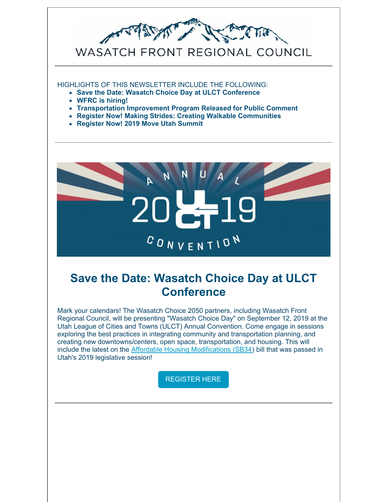

#### HIGHLIGHTS OF THIS NEWSLETTER INCLUDE THE FOLLOWING:

- **Save the Date: Wasatch Choice Day at ULCT Conference**
- **WFRC is hiring!**
- **Transportation Improvement Program Released for Public Comment**
- **Register Now! Making Strides: Creating Walkable Communities**
- **Register Now! 2019 Move Utah Summit**



#### **Save the Date: Wasatch Choice Day at ULCT Conference**

Mark your calendars! The Wasatch Choice 2050 partners, including Wasatch Front Regional Council, will be presenting "Wasatch Choice Day" on September 12, 2019 at the Utah League of Cities and Towns (ULCT) Annual Convention. Come engage in sessions exploring the best practices in integrating community and transportation planning, and creating new downtowns/centers, open space, transportation, and housing. This will include the latest on the Affordable Housing [Modifications](https://docs.google.com/document/d/1Wc86TpNnpVnw4IRzm9mg5inz95L8c7RR2rFFeF8KLTA/edit) (SB34) bill that was passed in Utah's 2019 legislative session!

[REGISTER](http://www.ulct.org/training-events/annual2019/) HERE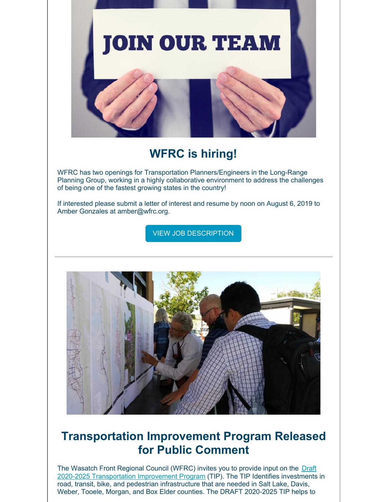

# **WFRC is hiring!**

WFRC has two openings for Transportation Planners/Engineers in the Long-Range Planning Group, working in a highly collaborative environment to address the challenges of being one of the fastest growing states in the country!

If interested please submit a letter of interest and resume by noon on August 6, 2019 to Amber Gonzales at amber@wfrc.org.

VIEW JOB [DESCRIPTION](https://wfrc.org/Contact/Careers/TransportationPlannerEngineersJuly19.pdf)



### **Transportation Improvement Program Released for Public Comment**

The Wasatch Front Regional Council (WFRC) invites you to provide input on the Draft 2020-2025 [Transportation](https://wfrc.org/programs/transportation-improvement-program/) Improvement Program (TIP). The TIP Identifies investments in road, transit, bike, and pedestrian infrastructure that are needed in Salt Lake, Davis, Weber, Tooele, Morgan, and Box Elder counties. The DRAFT 2020-2025 TIP helps to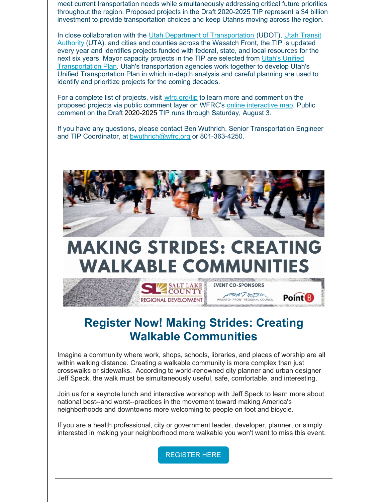meet current transportation needs while simultaneously addressing critical future priorities throughout the region. Proposed projects in the Draft 2020-2025 TIP represent a \$4 billion investment to provide transportation choices and keep Utahns moving across the region.

In close collaboration with the Utah Department of [Transportation](http://www.rideuta.com/) (UDOT), Utah Transit Authority (UTA). and cities and counties across the Wasatch Front, the TIP is updated every year and identifies projects funded with federal, state, and local resources for the next six years. Mayor capacity projects in the TIP are selected from Utah's Unified [Transportation](http://unifiedplan.org/interactive-map/) Plan. Utah's transportation agencies work together to develop Utah's Unified Transportation Plan in which in-depth analysis and careful planning are used to identify and prioritize projects for the coming decades.

For a complete list of projects, visit [wfrc.org/tip](https://wfrc.org/programs/transportation-improvement-program/) to learn more and comment on the proposed projects via public comment layer on WFRC's online [interactive](https://wfrc.org/TIP20192024/) map. Public comment on the Draft 2020-2025 TIP runs through Saturday, August 3.

If you have any questions, please contact Ben Wuthrich, Senior Transportation Engineer and TIP Coordinator, at [bwuthrich@wfrc.org](mailto:bwuthrich@wfrc.org) or 801-363-4250.



# **MAKING STRIDES: CREATING WALKABLE COMMUNI**

**EVENT CO-SPONSORS** 

THE PRONT REGIONAL COUNCIL

**Point** B

**SALT LAKE** 

**REGIONAL DEVELOPMENT** 

# **Register Now! Making Strides: Creating Walkable Communities**

Imagine a community where work, shops, schools, libraries, and places of worship are all within walking distance. Creating a walkable community is more complex than just crosswalks or sidewalks. According to world-renowned city planner and urban designer Jeff Speck, the walk must be simultaneously useful, safe, comfortable, and interesting.

Join us for a keynote lunch and interactive workshop with Jeff Speck to learn more about national best--and worst--practices in the movement toward making America's neighborhoods and downtowns more welcoming to people on foot and bicycle.

If you are a health professional, city or government leader, developer, planner, or simply interested in making your neighborhood more walkable you won't want to miss this event.

[REGISTER](https://www.eventbrite.com/e/making-strides-creating-walkable-communities-tickets-62286528684) HERE